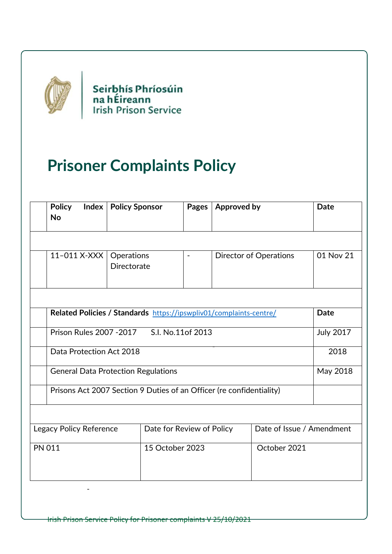

Seirbhís Phríosúin<br>na hÉireann<br>Irish Prison Service

# **Prisoner Complaints Policy**

| <b>Policy</b><br><b>No</b>                                           |                                  | Pages                                                                           | <b>Approved by</b>            | <b>Date</b>                                                        |  |
|----------------------------------------------------------------------|----------------------------------|---------------------------------------------------------------------------------|-------------------------------|--------------------------------------------------------------------|--|
|                                                                      |                                  |                                                                                 |                               |                                                                    |  |
|                                                                      | Operations<br><b>Directorate</b> | $\blacksquare$                                                                  | <b>Director of Operations</b> | 01 Nov 21                                                          |  |
|                                                                      |                                  |                                                                                 |                               |                                                                    |  |
|                                                                      |                                  |                                                                                 |                               | <b>Date</b>                                                        |  |
| S.I. No.11of 2013<br>Prison Rules 2007 - 2017                        |                                  |                                                                                 |                               | <b>July 2017</b>                                                   |  |
| Data Protection Act 2018                                             |                                  |                                                                                 |                               | 2018                                                               |  |
| <b>General Data Protection Regulations</b>                           |                                  |                                                                                 |                               | May 2018                                                           |  |
| Prisons Act 2007 Section 9 Duties of an Officer (re confidentiality) |                                  |                                                                                 |                               |                                                                    |  |
|                                                                      |                                  |                                                                                 |                               |                                                                    |  |
|                                                                      |                                  | Date for Review of Policy                                                       |                               | Date of Issue / Amendment                                          |  |
| <b>PN 011</b>                                                        |                                  | 15 October 2023                                                                 |                               | October 2021                                                       |  |
|                                                                      |                                  | <b>Index   Policy Sponsor</b><br>11-011 X-XXX<br><b>Legacy Policy Reference</b> |                               | Related Policies / Standards https://ipswpliv01/complaints-centre/ |  |

Irish Prison Service Policy for Prisoner complaints V 25/10/2021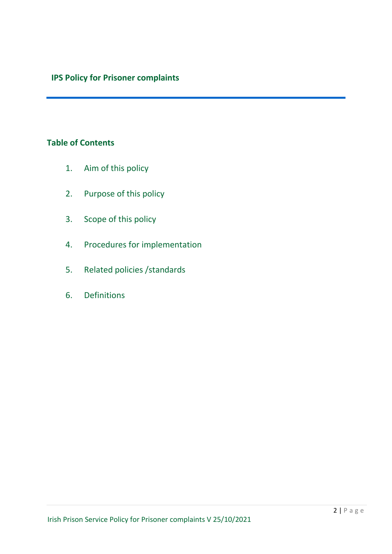## **IPS Policy for Prisoner complaints**

### **Table of Contents**

- 1. Aim of this policy
- 2. Purpose of this policy
- 3. Scope of this policy
- 4. Procedures for implementation
- 5. Related policies /standards
- 6. Definitions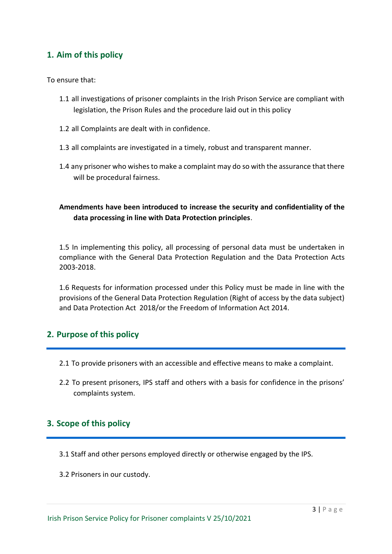### **1. Aim of this policy**

To ensure that:

- 1.1 all investigations of prisoner complaints in the Irish Prison Service are compliant with legislation, the Prison Rules and the procedure laid out in this policy
- 1.2 all Complaints are dealt with in confidence.
- 1.3 all complaints are investigated in a timely, robust and transparent manner.
- 1.4 any prisoner who wishes to make a complaint may do so with the assurance that there will be procedural fairness.

### **Amendments have been introduced to increase the security and confidentiality of the data processing in line with Data Protection principles**.

1.5 In implementing this policy, all processing of personal data must be undertaken in compliance with the General Data Protection Regulation and the Data Protection Acts 2003-2018.

1.6 Requests for information processed under this Policy must be made in line with the provisions of the General Data Protection Regulation (Right of access by the data subject) and Data Protection Act 2018/or the Freedom of Information Act 2014.

### **2. Purpose of this policy**

- 2.1 To provide prisoners with an accessible and effective means to make a complaint.
- 2.2 To present prisoners, IPS staff and others with a basis for confidence in the prisons' complaints system.

### **3. Scope of this policy**

- 3.1 Staff and other persons employed directly or otherwise engaged by the IPS.
- 3.2 Prisoners in our custody.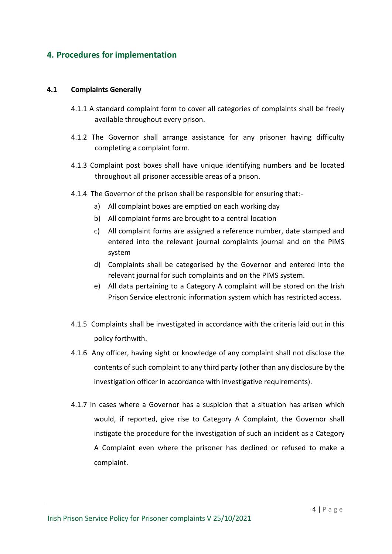### **4. Procedures for implementation**

#### **4.1 Complaints Generally**

- 4.1.1 A standard complaint form to cover all categories of complaints shall be freely available throughout every prison.
- 4.1.2 The Governor shall arrange assistance for any prisoner having difficulty completing a complaint form.
- 4.1.3 Complaint post boxes shall have unique identifying numbers and be located throughout all prisoner accessible areas of a prison.
- 4.1.4 The Governor of the prison shall be responsible for ensuring that:
	- a) All complaint boxes are emptied on each working day
	- b) All complaint forms are brought to a central location
	- c) All complaint forms are assigned a reference number, date stamped and entered into the relevant journal complaints journal and on the PIMS system
	- d) Complaints shall be categorised by the Governor and entered into the relevant journal for such complaints and on the PIMS system.
	- e) All data pertaining to a Category A complaint will be stored on the Irish Prison Service electronic information system which has restricted access.
- 4.1.5 Complaints shall be investigated in accordance with the criteria laid out in this policy forthwith.
- 4.1.6 Any officer, having sight or knowledge of any complaint shall not disclose the contents of such complaint to any third party (other than any disclosure by the investigation officer in accordance with investigative requirements).
- 4.1.7 In cases where a Governor has a suspicion that a situation has arisen which would, if reported, give rise to Category A Complaint, the Governor shall instigate the procedure for the investigation of such an incident as a Category A Complaint even where the prisoner has declined or refused to make a complaint.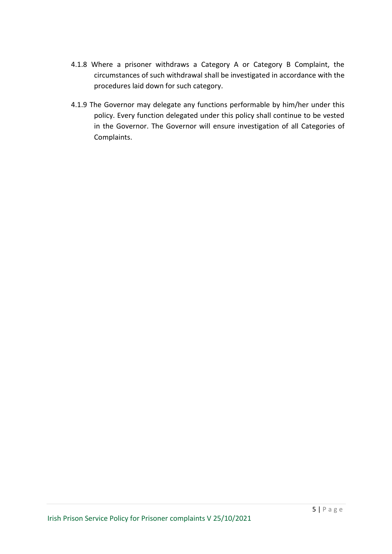- 4.1.8 Where a prisoner withdraws a Category A or Category B Complaint, the circumstances of such withdrawal shall be investigated in accordance with the procedures laid down for such category.
- 4.1.9 The Governor may delegate any functions performable by him/her under this policy. Every function delegated under this policy shall continue to be vested in the Governor. The Governor will ensure investigation of all Categories of Complaints.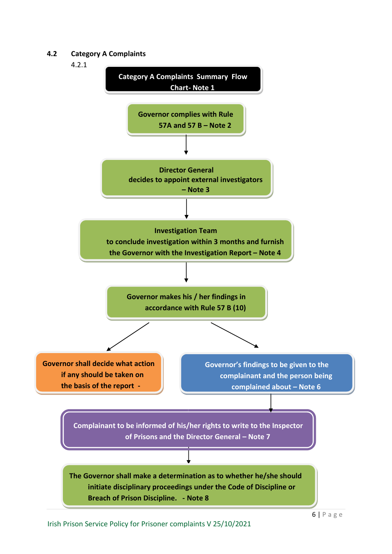#### **4.2 Category A Complaints**

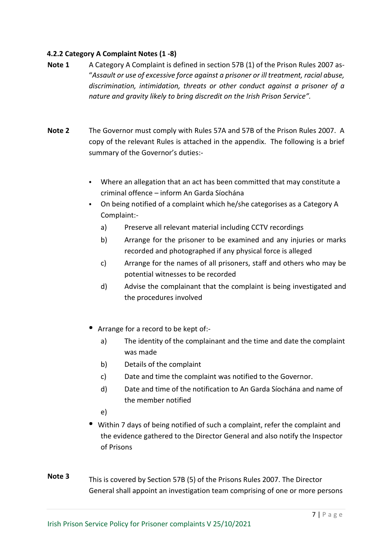#### **4.2.2 Category A Complaint Notes (1 -8)**

- **Note 1** A Category A Complaint is defined in section 57B (1) of the Prison Rules 2007 as-"*Assault or use of excessive force against a prisoner or ill treatment, racial abuse, discrimination, intimidation, threats or other conduct against a prisoner of a nature and gravity likely to bring discredit on the Irish Prison Service".*
- **Note 2** The Governor must comply with Rules 57A and 57B of the Prison Rules 2007. A copy of the relevant Rules is attached in the appendix. The following is a brief summary of the Governor's duties:-
	- Where an allegation that an act has been committed that may constitute a criminal offence – inform An Garda Síochána
	- On being notified of a complaint which he/she categorises as a Category A Complaint:
		- a) Preserve all relevant material including CCTV recordings
		- b) Arrange for the prisoner to be examined and any injuries or marks recorded and photographed if any physical force is alleged
		- c) Arrange for the names of all prisoners, staff and others who may be potential witnesses to be recorded
		- d) Advise the complainant that the complaint is being investigated and the procedures involved
	- Arrange for a record to be kept of:
		- a) The identity of the complainant and the time and date the complaint was made
		- b) Details of the complaint
		- c) Date and time the complaint was notified to the Governor.
		- d) Date and time of the notification to An Garda Síochána and name of the member notified
		- e)
	- Within 7 days of being notified of such a complaint, refer the complaint and the evidence gathered to the Director General and also notify the Inspector of Prisons
- **Note 3** This is covered by Section 57B (5) of the Prisons Rules 2007. The Director General shall appoint an investigation team comprising of one or more persons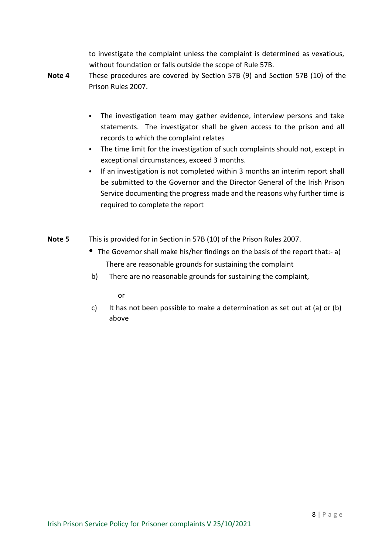to investigate the complaint unless the complaint is determined as vexatious, without foundation or falls outside the scope of Rule 57B.

- **Note 4** These procedures are covered by Section 57B (9) and Section 57B (10) of the Prison Rules 2007.
	- The investigation team may gather evidence, interview persons and take statements. The investigator shall be given access to the prison and all records to which the complaint relates
	- The time limit for the investigation of such complaints should not, except in exceptional circumstances, exceed 3 months.
	- If an investigation is not completed within 3 months an interim report shall be submitted to the Governor and the Director General of the Irish Prison Service documenting the progress made and the reasons why further time is required to complete the report
- **Note 5** This is provided for in Section in 57B (10) of the Prison Rules 2007.
	- The Governor shall make his/her findings on the basis of the report that:- a) There are reasonable grounds for sustaining the complaint
	- b) There are no reasonable grounds for sustaining the complaint,

or

c) It has not been possible to make a determination as set out at (a) or (b) above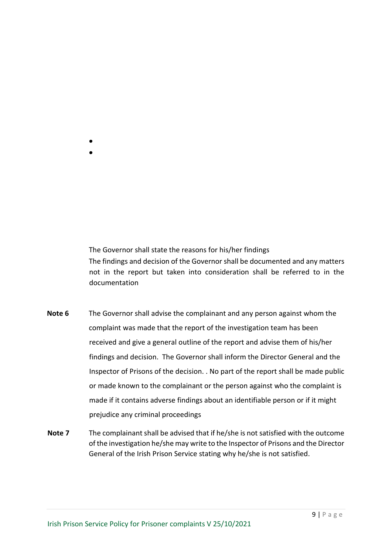- The Governor shall state the reasons for his/her findings The findings and decision of the Governor shall be documented and any matters not in the report but taken into consideration shall be referred to in the
- **Note 6** The Governor shall advise the complainant and any person against whom the complaint was made that the report of the investigation team has been received and give a general outline of the report and advise them of his/her findings and decision. The Governor shall inform the Director General and the Inspector of Prisons of the decision. . No part of the report shall be made public or made known to the complainant or the person against who the complaint is made if it contains adverse findings about an identifiable person or if it might prejudice any criminal proceedings
- **Note 7** The complainant shall be advised that if he/she is not satisfied with the outcome of the investigation he/she may write to the Inspector of Prisons and the Director General of the Irish Prison Service stating why he/she is not satisfied.

documentation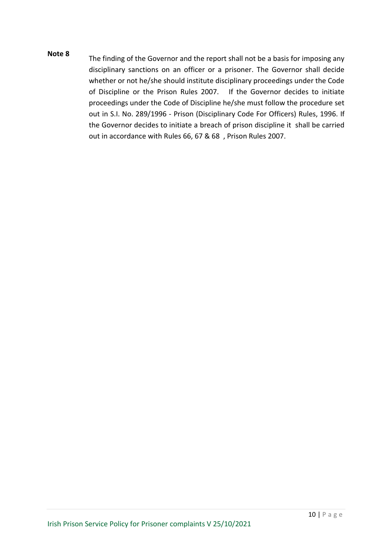**Note 8** The finding of the Governor and the report shall not be a basis for imposing any disciplinary sanctions on an officer or a prisoner. The Governor shall decide whether or not he/she should institute disciplinary proceedings under the Code of Discipline or the Prison Rules 2007. If the Governor decides to initiate proceedings under the Code of Discipline he/she must follow the procedure set out in S.I. No. 289/1996 - Prison (Disciplinary Code For Officers) Rules, 1996. If the Governor decides to initiate a breach of prison discipline it shall be carried out in accordance with Rules 66, 67 & 68 , Prison Rules 2007.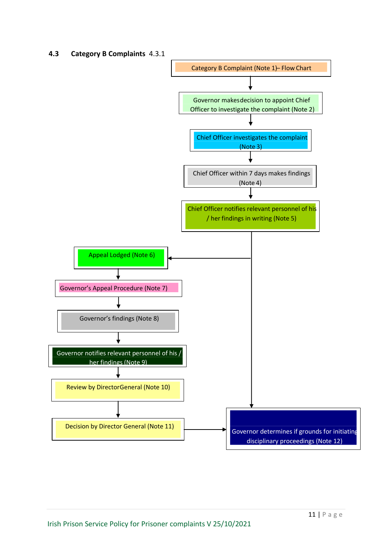#### **4.3 Category B Complaints** 4.3.1

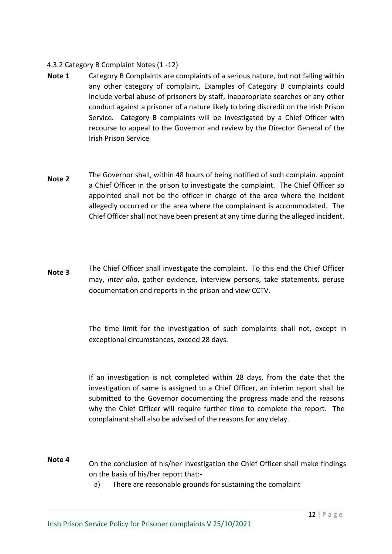#### 4.3.2 Category B Complaint Notes (1 -12)

- **Note 1** Category B Complaints are complaints of a serious nature, but not falling within any other category of complaint. Examples of Category B complaints could include verbal abuse of prisoners by staff, inappropriate searches or any other conduct against a prisoner of a nature likely to bring discredit on the Irish Prison Service. Category B complaints will be investigated by a Chief Officer with recourse to appeal to the Governor and review by the Director General of the Irish Prison Service
- **Note 2** The Governor shall, within 48 hours of being notified of such complain. appoint a Chief Officer in the prison to investigate the complaint. The Chief Officer so appointed shall not be the officer in charge of the area where the incident allegedly occurred or the area where the complainant is accommodated. The Chief Officer shall not have been present at any time during the alleged incident.
- **Note 3** The Chief Officer shall investigate the complaint. To this end the Chief Officer may, *inter alia*, gather evidence, interview persons, take statements, peruse documentation and reports in the prison and view CCTV.

The time limit for the investigation of such complaints shall not, except in exceptional circumstances, exceed 28 days.

If an investigation is not completed within 28 days, from the date that the investigation of same is assigned to a Chief Officer, an interim report shall be submitted to the Governor documenting the progress made and the reasons why the Chief Officer will require further time to complete the report. The complainant shall also be advised of the reasons for any delay.

- **Note 4** On the conclusion of his/her investigation the Chief Officer shall make findings on the basis of his/her report that:
	- a) There are reasonable grounds for sustaining the complaint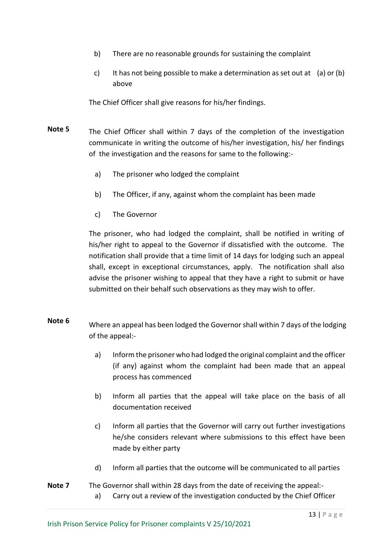- b) There are no reasonable grounds for sustaining the complaint
- c) It has not being possible to make a determination as set out at (a) or (b) above

The Chief Officer shall give reasons for his/her findings.

- **Note 5** The Chief Officer shall within 7 days of the completion of the investigation communicate in writing the outcome of his/her investigation, his/ her findings of the investigation and the reasons for same to the following:
	- a) The prisoner who lodged the complaint
	- b) The Officer, if any, against whom the complaint has been made
	- c) The Governor

The prisoner, who had lodged the complaint, shall be notified in writing of his/her right to appeal to the Governor if dissatisfied with the outcome. The notification shall provide that a time limit of 14 days for lodging such an appeal shall, except in exceptional circumstances, apply. The notification shall also advise the prisoner wishing to appeal that they have a right to submit or have submitted on their behalf such observations as they may wish to offer.

- **Note 6** Where an appeal has been lodged the Governor shall within 7 days of the lodging of the appeal:
	- a) Inform the prisoner who had lodged the original complaint and the officer (if any) against whom the complaint had been made that an appeal process has commenced
	- b) Inform all parties that the appeal will take place on the basis of all documentation received
	- c) Inform all parties that the Governor will carry out further investigations he/she considers relevant where submissions to this effect have been made by either party
	- d) Inform all parties that the outcome will be communicated to all parties
- **Note 7** The Governor shall within 28 days from the date of receiving the appeal: a) Carry out a review of the investigation conducted by the Chief Officer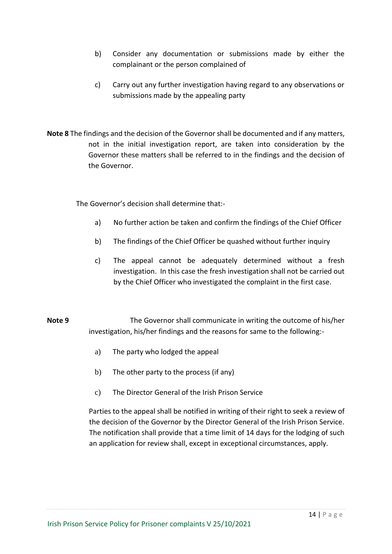- b) Consider any documentation or submissions made by either the complainant or the person complained of
- c) Carry out any further investigation having regard to any observations or submissions made by the appealing party
- **Note 8** The findings and the decision of the Governor shall be documented and if any matters, not in the initial investigation report, are taken into consideration by the Governor these matters shall be referred to in the findings and the decision of the Governor.

The Governor's decision shall determine that:-

- a) No further action be taken and confirm the findings of the Chief Officer
- b) The findings of the Chief Officer be quashed without further inquiry
- c) The appeal cannot be adequately determined without a fresh investigation. In this case the fresh investigation shall not be carried out by the Chief Officer who investigated the complaint in the first case.
- **Note 9** The Governor shall communicate in writing the outcome of his/her investigation, his/her findings and the reasons for same to the following:
	- a) The party who lodged the appeal
	- b) The other party to the process (if any)
	- c) The Director General of the Irish Prison Service

Parties to the appeal shall be notified in writing of their right to seek a review of the decision of the Governor by the Director General of the Irish Prison Service. The notification shall provide that a time limit of 14 days for the lodging of such an application for review shall, except in exceptional circumstances, apply.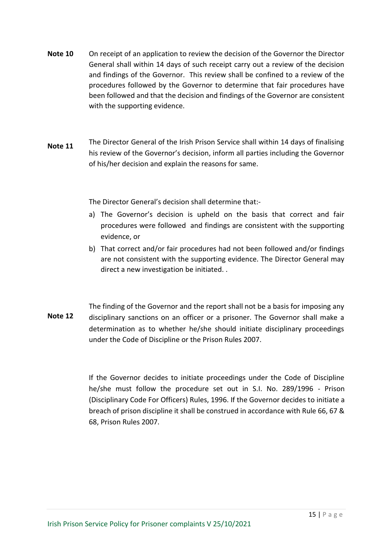- **Note 10** On receipt of an application to review the decision of the Governor the Director General shall within 14 days of such receipt carry out a review of the decision and findings of the Governor. This review shall be confined to a review of the procedures followed by the Governor to determine that fair procedures have been followed and that the decision and findings of the Governor are consistent with the supporting evidence.
- **Note 11** The Director General of the Irish Prison Service shall within 14 days of finalising his review of the Governor's decision, inform all parties including the Governor of his/her decision and explain the reasons for same.

The Director General's decision shall determine that:-

- a) The Governor's decision is upheld on the basis that correct and fair procedures were followed and findings are consistent with the supporting evidence, or
- b) That correct and/or fair procedures had not been followed and/or findings are not consistent with the supporting evidence. The Director General may direct a new investigation be initiated. .
- **Note 12** The finding of the Governor and the report shall not be a basis for imposing any disciplinary sanctions on an officer or a prisoner. The Governor shall make a determination as to whether he/she should initiate disciplinary proceedings under the Code of Discipline or the Prison Rules 2007.

If the Governor decides to initiate proceedings under the Code of Discipline he/she must follow the procedure set out in S.I. No. 289/1996 - Prison (Disciplinary Code For Officers) Rules, 1996. If the Governor decides to initiate a breach of prison discipline it shall be construed in accordance with Rule 66, 67 & 68, Prison Rules 2007.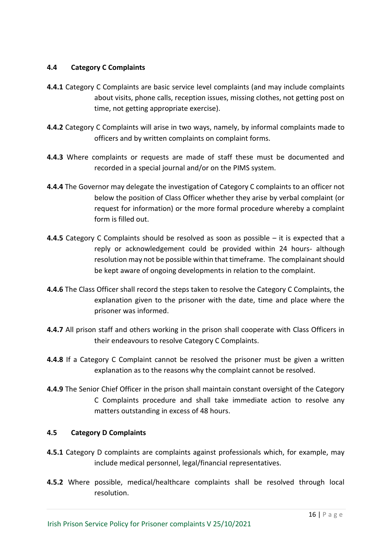#### **4.4 Category C Complaints**

- **4.4.1** Category C Complaints are basic service level complaints (and may include complaints about visits, phone calls, reception issues, missing clothes, not getting post on time, not getting appropriate exercise).
- **4.4.2** Category C Complaints will arise in two ways, namely, by informal complaints made to officers and by written complaints on complaint forms.
- **4.4.3** Where complaints or requests are made of staff these must be documented and recorded in a special journal and/or on the PIMS system.
- **4.4.4** The Governor may delegate the investigation of Category C complaints to an officer not below the position of Class Officer whether they arise by verbal complaint (or request for information) or the more formal procedure whereby a complaint form is filled out.
- **4.4.5** Category C Complaints should be resolved as soon as possible it is expected that a reply or acknowledgement could be provided within 24 hours- although resolution may not be possible within that timeframe. The complainant should be kept aware of ongoing developments in relation to the complaint.
- **4.4.6** The Class Officer shall record the steps taken to resolve the Category C Complaints, the explanation given to the prisoner with the date, time and place where the prisoner was informed.
- **4.4.7** All prison staff and others working in the prison shall cooperate with Class Officers in their endeavours to resolve Category C Complaints.
- **4.4.8** If a Category C Complaint cannot be resolved the prisoner must be given a written explanation as to the reasons why the complaint cannot be resolved.
- **4.4.9** The Senior Chief Officer in the prison shall maintain constant oversight of the Category C Complaints procedure and shall take immediate action to resolve any matters outstanding in excess of 48 hours.

#### **4.5 Category D Complaints**

- **4.5.1** Category D complaints are complaints against professionals which, for example, may include medical personnel, legal/financial representatives.
- **4.5.2** Where possible, medical/healthcare complaints shall be resolved through local resolution.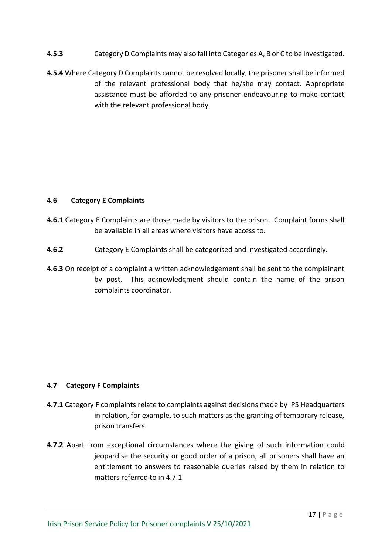- **4.5.3** Category D Complaints may also fall into Categories A, B or C to be investigated.
- **4.5.4** Where Category D Complaints cannot be resolved locally, the prisoner shall be informed of the relevant professional body that he/she may contact. Appropriate assistance must be afforded to any prisoner endeavouring to make contact with the relevant professional body.

#### **4.6 Category E Complaints**

- **4.6.1** Category E Complaints are those made by visitors to the prison. Complaint forms shall be available in all areas where visitors have access to.
- **4.6.2** Category E Complaints shall be categorised and investigated accordingly.
- **4.6.3** On receipt of a complaint a written acknowledgement shall be sent to the complainant by post. This acknowledgment should contain the name of the prison complaints coordinator.

#### **4.7 Category F Complaints**

- **4.7.1** Category F complaints relate to complaints against decisions made by IPS Headquarters in relation, for example, to such matters as the granting of temporary release, prison transfers.
- **4.7.2** Apart from exceptional circumstances where the giving of such information could jeopardise the security or good order of a prison, all prisoners shall have an entitlement to answers to reasonable queries raised by them in relation to matters referred to in 4.7.1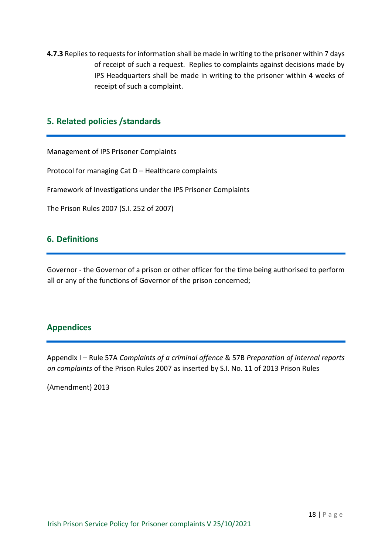**4.7.3** Replies to requests for information shall be made in writing to the prisoner within 7 days of receipt of such a request. Replies to complaints against decisions made by IPS Headquarters shall be made in writing to the prisoner within 4 weeks of receipt of such a complaint.

### **5. Related policies /standards**

Management of IPS Prisoner Complaints Protocol for managing Cat D – Healthcare complaints

Framework of Investigations under the IPS Prisoner Complaints

The Prison Rules 2007 (S.I. 252 of 2007)

### **6. Definitions**

Governor - the Governor of a prison or other officer for the time being authorised to perform all or any of the functions of Governor of the prison concerned;

### **Appendices**

Appendix I – Rule 57A *Complaints of a criminal offence* & 57B *Preparation of internal reports on complaints* of the Prison Rules 2007 as inserted by S.I. No. 11 of 2013 Prison Rules

(Amendment) 2013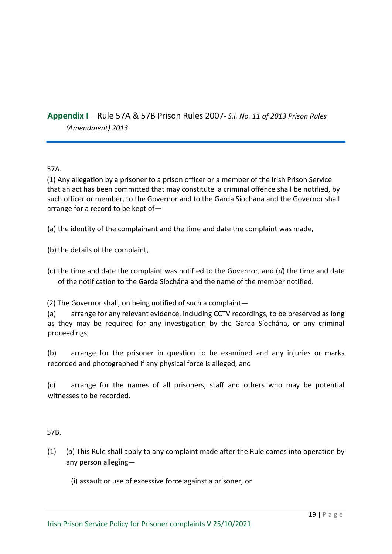### **Appendix I** – Rule 57A & 57B Prison Rules 2007*- S.I. No. 11 of 2013 Prison Rules (Amendment) 2013*

57A.

(1) Any allegation by a prisoner to a prison officer or a member of the Irish Prison Service that an act has been committed that may constitute a criminal offence shall be notified, by such officer or member, to the Governor and to the Garda Síochána and the Governor shall arrange for a record to be kept of—

(a) the identity of the complainant and the time and date the complaint was made,

(b) the details of the complaint,

(c) the time and date the complaint was notified to the Governor, and (*d*) the time and date of the notification to the Garda Síochána and the name of the member notified.

(2) The Governor shall, on being notified of such a complaint—

(a) arrange for any relevant evidence, including CCTV recordings, to be preserved as long as they may be required for any investigation by the Garda Síochána, or any criminal proceedings,

(b) arrange for the prisoner in question to be examined and any injuries or marks recorded and photographed if any physical force is alleged, and

(c) arrange for the names of all prisoners, staff and others who may be potential witnesses to be recorded.

57B.

- (1) (*a*) This Rule shall apply to any complaint made after the Rule comes into operation by any person alleging—
	- (i) assault or use of excessive force against a prisoner, or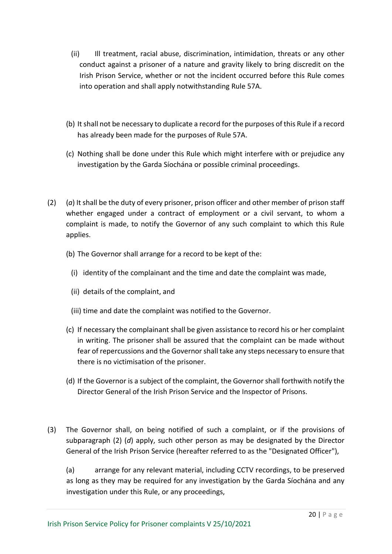- (ii) Ill treatment, racial abuse, discrimination, intimidation, threats or any other conduct against a prisoner of a nature and gravity likely to bring discredit on the Irish Prison Service, whether or not the incident occurred before this Rule comes into operation and shall apply notwithstanding Rule 57A.
- (b) It shall not be necessary to duplicate a record for the purposes of this Rule if a record has already been made for the purposes of Rule 57A.
- (c) Nothing shall be done under this Rule which might interfere with or prejudice any investigation by the Garda Síochána or possible criminal proceedings.
- (2) (*a*) It shall be the duty of every prisoner, prison officer and other member of prison staff whether engaged under a contract of employment or a civil servant, to whom a complaint is made, to notify the Governor of any such complaint to which this Rule applies.
	- (b) The Governor shall arrange for a record to be kept of the:
		- (i) identity of the complainant and the time and date the complaint was made,
		- (ii) details of the complaint, and
		- (iii) time and date the complaint was notified to the Governor.
	- (c) If necessary the complainant shall be given assistance to record his or her complaint in writing. The prisoner shall be assured that the complaint can be made without fear of repercussions and the Governor shall take any steps necessary to ensure that there is no victimisation of the prisoner.
	- (d) If the Governor is a subject of the complaint, the Governor shall forthwith notify the Director General of the Irish Prison Service and the Inspector of Prisons.
- (3) The Governor shall, on being notified of such a complaint, or if the provisions of subparagraph (2) (*d*) apply, such other person as may be designated by the Director General of the Irish Prison Service (hereafter referred to as the "Designated Officer"),

(a) arrange for any relevant material, including CCTV recordings, to be preserved as long as they may be required for any investigation by the Garda Síochána and any investigation under this Rule, or any proceedings,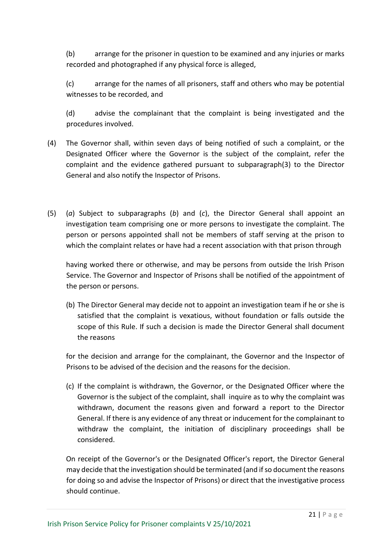(b) arrange for the prisoner in question to be examined and any injuries or marks recorded and photographed if any physical force is alleged,

(c) arrange for the names of all prisoners, staff and others who may be potential witnesses to be recorded, and

(d) advise the complainant that the complaint is being investigated and the procedures involved.

- (4) The Governor shall, within seven days of being notified of such a complaint, or the Designated Officer where the Governor is the subject of the complaint, refer the complaint and the evidence gathered pursuant to subparagraph(3) to the Director General and also notify the Inspector of Prisons.
- (5) (*a*) Subject to subparagraphs (*b*) and (*c*), the Director General shall appoint an investigation team comprising one or more persons to investigate the complaint. The person or persons appointed shall not be members of staff serving at the prison to which the complaint relates or have had a recent association with that prison through

having worked there or otherwise, and may be persons from outside the Irish Prison Service. The Governor and Inspector of Prisons shall be notified of the appointment of the person or persons.

(b) The Director General may decide not to appoint an investigation team if he or she is satisfied that the complaint is vexatious, without foundation or falls outside the scope of this Rule. If such a decision is made the Director General shall document the reasons

for the decision and arrange for the complainant, the Governor and the Inspector of Prisons to be advised of the decision and the reasons for the decision.

(c) If the complaint is withdrawn, the Governor, or the Designated Officer where the Governor is the subject of the complaint, shall inquire as to why the complaint was withdrawn, document the reasons given and forward a report to the Director General. If there is any evidence of any threat or inducement for the complainant to withdraw the complaint, the initiation of disciplinary proceedings shall be considered.

On receipt of the Governor's or the Designated Officer's report, the Director General may decide that the investigation should be terminated (and if so document the reasons for doing so and advise the Inspector of Prisons) or direct that the investigative process should continue.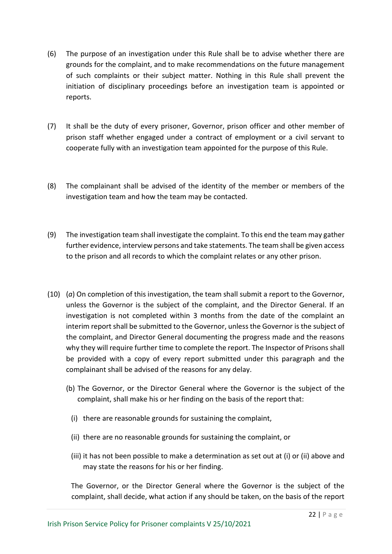- (6) The purpose of an investigation under this Rule shall be to advise whether there are grounds for the complaint, and to make recommendations on the future management of such complaints or their subject matter. Nothing in this Rule shall prevent the initiation of disciplinary proceedings before an investigation team is appointed or reports.
- (7) It shall be the duty of every prisoner, Governor, prison officer and other member of prison staff whether engaged under a contract of employment or a civil servant to cooperate fully with an investigation team appointed for the purpose of this Rule.
- (8) The complainant shall be advised of the identity of the member or members of the investigation team and how the team may be contacted.
- (9) The investigation team shall investigate the complaint. To this end the team may gather further evidence, interview persons and take statements. The team shall be given access to the prison and all records to which the complaint relates or any other prison.
- (10) (*a*) On completion of this investigation, the team shall submit a report to the Governor, unless the Governor is the subject of the complaint, and the Director General. If an investigation is not completed within 3 months from the date of the complaint an interim report shall be submitted to the Governor, unless the Governor is the subject of the complaint, and Director General documenting the progress made and the reasons why they will require further time to complete the report. The Inspector of Prisons shall be provided with a copy of every report submitted under this paragraph and the complainant shall be advised of the reasons for any delay.
	- (b) The Governor, or the Director General where the Governor is the subject of the complaint, shall make his or her finding on the basis of the report that:
		- (i) there are reasonable grounds for sustaining the complaint,
		- (ii) there are no reasonable grounds for sustaining the complaint, or
		- (iii) it has not been possible to make a determination as set out at (i) or (ii) above and may state the reasons for his or her finding.

The Governor, or the Director General where the Governor is the subject of the complaint, shall decide, what action if any should be taken, on the basis of the report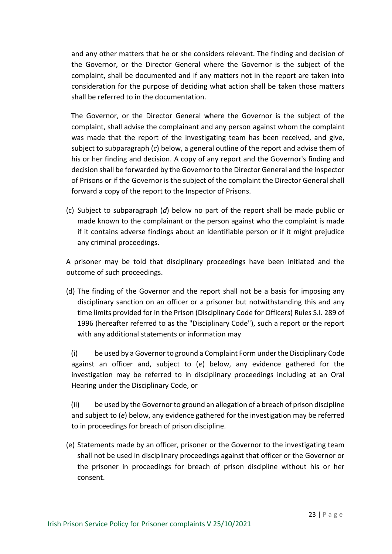and any other matters that he or she considers relevant. The finding and decision of the Governor, or the Director General where the Governor is the subject of the complaint, shall be documented and if any matters not in the report are taken into consideration for the purpose of deciding what action shall be taken those matters shall be referred to in the documentation.

The Governor, or the Director General where the Governor is the subject of the complaint, shall advise the complainant and any person against whom the complaint was made that the report of the investigating team has been received, and give, subject to subparagraph (*c*) below, a general outline of the report and advise them of his or her finding and decision. A copy of any report and the Governor's finding and decision shall be forwarded by the Governor to the Director General and the Inspector of Prisons or if the Governor is the subject of the complaint the Director General shall forward a copy of the report to the Inspector of Prisons.

(c) Subject to subparagraph (*d*) below no part of the report shall be made public or made known to the complainant or the person against who the complaint is made if it contains adverse findings about an identifiable person or if it might prejudice any criminal proceedings.

A prisoner may be told that disciplinary proceedings have been initiated and the outcome of such proceedings.

(d) The finding of the Governor and the report shall not be a basis for imposing any disciplinary sanction on an officer or a prisoner but notwithstanding this and any time limits provided for in the Prison (Disciplinary Code for Officers) Rules S.I. 289 of 1996 (hereafter referred to as the "Disciplinary Code"), such a report or the report with any additional statements or information may

(i) be used by a Governor to ground a Complaint Form under the Disciplinary Code against an officer and, subject to (*e*) below, any evidence gathered for the investigation may be referred to in disciplinary proceedings including at an Oral Hearing under the Disciplinary Code, or

(ii) be used by the Governor to ground an allegation of a breach of prison discipline and subject to (*e*) below, any evidence gathered for the investigation may be referred to in proceedings for breach of prison discipline.

(e) Statements made by an officer, prisoner or the Governor to the investigating team shall not be used in disciplinary proceedings against that officer or the Governor or the prisoner in proceedings for breach of prison discipline without his or her consent.